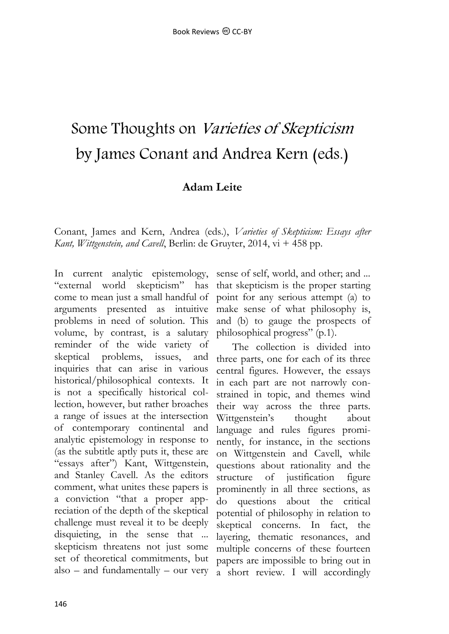## Some Thoughts on Varieties of Skepticism by James Conant and Andrea Kern (eds.)

## **Adam Leite**

Conant, James and Kern, Andrea (eds.), *Varieties of Skepticism: Essays after Kant, Wittgenstein, and Cavell*, Berlin: de Gruyter, 2014, vi + 458 pp.

In current analytic epistemology, "external world skepticism" has come to mean just a small handful of arguments presented as intuitive problems in need of solution. This volume, by contrast, is a salutary reminder of the wide variety of skeptical problems, issues, and inquiries that can arise in various historical/philosophical contexts. It is not a specifically historical collection, however, but rather broaches a range of issues at the intersection of contemporary continental and analytic epistemology in response to (as the subtitle aptly puts it, these are "essays after") Kant, Wittgenstein, and Stanley Cavell. As the editors comment, what unites these papers is a conviction "that a proper appreciation of the depth of the skeptical challenge must reveal it to be deeply disquieting, in the sense that ... skepticism threatens not just some set of theoretical commitments, but also – and fundamentally – our very

sense of self, world, and other; and ... that skepticism is the proper starting point for any serious attempt (a) to make sense of what philosophy is, and (b) to gauge the prospects of philosophical progress" (p.1).

The collection is divided into three parts, one for each of its three central figures. However, the essays in each part are not narrowly constrained in topic, and themes wind their way across the three parts. Wittgenstein's thought about language and rules figures prominently, for instance, in the sections on Wittgenstein and Cavell, while questions about rationality and the structure of justification figure prominently in all three sections, as do questions about the critical potential of philosophy in relation to skeptical concerns. In fact, the layering, thematic resonances, and multiple concerns of these fourteen papers are impossible to bring out in a short review. I will accordingly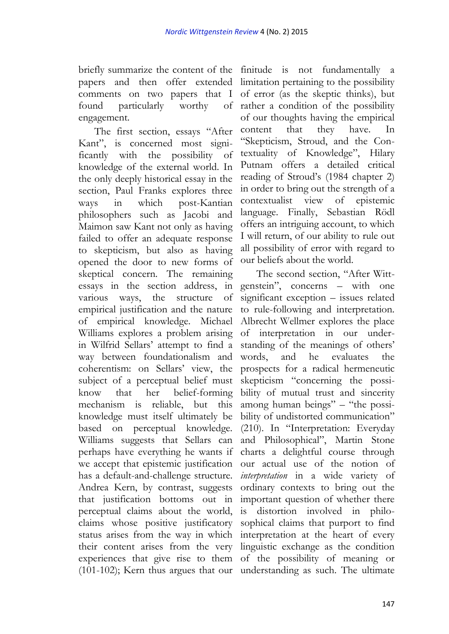briefly summarize the content of the finitude is not fundamentally a papers and then offer extended limitation pertaining to the possibility comments on two papers that I found particularly worthy engagement.

The first section, essays "After Kant", is concerned most significantly with the possibility of knowledge of the external world. In the only deeply historical essay in the section, Paul Franks explores three ways in which post-Kantian philosophers such as Jacobi and Maimon saw Kant not only as having failed to offer an adequate response to skepticism, but also as having opened the door to new forms of skeptical concern. The remaining essays in the section address, in various ways, the structure of empirical justification and the nature of empirical knowledge. Michael Williams explores a problem arising in Wilfrid Sellars' attempt to find a way between foundationalism and coherentism: on Sellars' view, the subject of a perceptual belief must know that her belief-forming mechanism is reliable, but this knowledge must itself ultimately be based on perceptual knowledge. Williams suggests that Sellars can perhaps have everything he wants if we accept that epistemic justification has a default-and-challenge structure. Andrea Kern, by contrast, suggests that justification bottoms out in perceptual claims about the world, claims whose positive justificatory status arises from the way in which their content arises from the very experiences that give rise to them of the possibility of meaning or (101-102); Kern thus argues that our understanding as such. The ultimate

of error (as the skeptic thinks), but of rather a condition of the possibility of our thoughts having the empirical content that they have. In "Skepticism, Stroud, and the Contextuality of Knowledge", Hilary Putnam offers a detailed critical reading of Stroud's (1984 chapter 2) in order to bring out the strength of a contextualist view of epistemic language. Finally, Sebastian Rödl offers an intriguing account, to which I will return, of our ability to rule out all possibility of error with regard to our beliefs about the world.

The second section, "After Wittgenstein", concerns – with one significant exception – issues related to rule-following and interpretation. Albrecht Wellmer explores the place of interpretation in our understanding of the meanings of others' words, and he evaluates the prospects for a radical hermeneutic skepticism "concerning the possibility of mutual trust and sincerity among human beings" – "the possibility of undistorted communication" (210). In "Interpretation: Everyday and Philosophical", Martin Stone charts a delightful course through our actual use of the notion of *interpretation* in a wide variety of ordinary contexts to bring out the important question of whether there is distortion involved in philosophical claims that purport to find interpretation at the heart of every linguistic exchange as the condition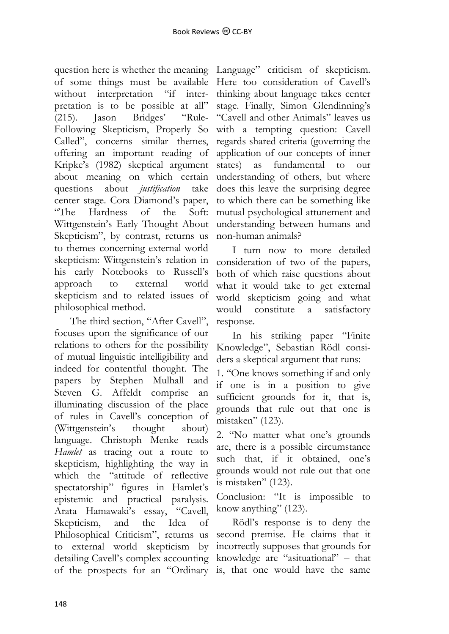question here is whether the meaning Language" criticism of skepticism. of some things must be available without interpretation "if interpretation is to be possible at all" (215). Jason Bridges' "Rule-Following Skepticism, Properly So Called", concerns similar themes, offering an important reading of Kripke's (1982) skeptical argument about meaning on which certain questions about *justification* take center stage. Cora Diamond's paper, "The Hardness of the Soft: Wittgenstein's Early Thought About Skepticism", by contrast, returns us to themes concerning external world skepticism: Wittgenstein's relation in his early Notebooks to Russell's approach to external world skepticism and to related issues of philosophical method.

The third section, "After Cavell", focuses upon the significance of our relations to others for the possibility of mutual linguistic intelligibility and indeed for contentful thought. The papers by Stephen Mulhall and Steven G. Affeldt comprise an illuminating discussion of the place of rules in Cavell's conception of (Wittgenstein's thought about) language. Christoph Menke reads *Hamlet* as tracing out a route to skepticism, highlighting the way in which the "attitude of reflective spectatorship" figures in Hamlet's epistemic and practical paralysis. Arata Hamawaki's essay, "Cavell, Skepticism, and the Idea of Philosophical Criticism", returns us to external world skepticism by detailing Cavell's complex accounting of the prospects for an "Ordinary is, that one would have the same

Here too consideration of Cavell's thinking about language takes center stage. Finally, Simon Glendinning's "Cavell and other Animals" leaves us with a tempting question: Cavell regards shared criteria (governing the application of our concepts of inner states) as fundamental to our understanding of others, but where does this leave the surprising degree to which there can be something like mutual psychological attunement and understanding between humans and non-human animals?

I turn now to more detailed consideration of two of the papers, both of which raise questions about what it would take to get external world skepticism going and what would constitute a satisfactory response.

In his striking paper "Finite Knowledge", Sebastian Rödl considers a skeptical argument that runs:

1. "One knows something if and only if one is in a position to give sufficient grounds for it, that is, grounds that rule out that one is mistaken" (123).

2. "No matter what one's grounds are, there is a possible circumstance such that, if it obtained, one's grounds would not rule out that one is mistaken" (123).

Conclusion: "It is impossible to know anything" (123).

Rödl's response is to deny the second premise. He claims that it incorrectly supposes that grounds for knowledge are "asituational" – that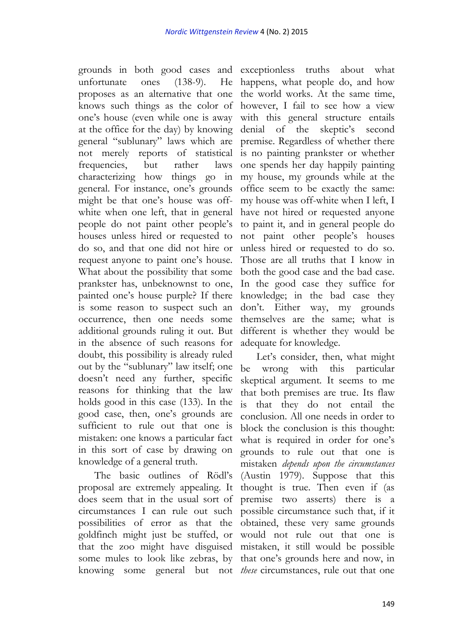grounds in both good cases and exceptionless truths about what unfortunate ones  $(138-9)$ . proposes as an alternative that one knows such things as the color of however, I fail to see how a view one's house (even while one is away at the office for the day) by knowing general "sublunary" laws which are not merely reports of statistical frequencies, but rather laws characterizing how things go in general. For instance, one's grounds might be that one's house was offwhite when one left, that in general people do not paint other people's houses unless hired or requested to do so, and that one did not hire or request anyone to paint one's house. What about the possibility that some prankster has, unbeknownst to one, painted one's house purple? If there is some reason to suspect such an occurrence, then one needs some additional grounds ruling it out. But in the absence of such reasons for doubt, this possibility is already ruled out by the "sublunary" law itself; one doesn't need any further, specific reasons for thinking that the law holds good in this case (133). In the good case, then, one's grounds are sufficient to rule out that one is mistaken: one knows a particular fact in this sort of case by drawing on knowledge of a general truth.

The basic outlines of Rödl's proposal are extremely appealing. It does seem that in the usual sort of circumstances I can rule out such possibilities of error as that the goldfinch might just be stuffed, or that the zoo might have disguised some mules to look like zebras, by

He happens, what people do, and how the world works. At the same time, with this general structure entails denial of the skeptic's second premise. Regardless of whether there is no painting prankster or whether one spends her day happily painting my house, my grounds while at the office seem to be exactly the same: my house was off-white when I left, I have not hired or requested anyone to paint it, and in general people do not paint other people's houses unless hired or requested to do so. Those are all truths that I know in both the good case and the bad case. In the good case they suffice for knowledge; in the bad case they don't. Either way, my grounds themselves are the same; what is different is whether they would be adequate for knowledge.

knowing some general but not *these* circumstances, rule out that one Let's consider, then, what might be wrong with this particular skeptical argument. It seems to me that both premises are true. Its flaw is that they do not entail the conclusion. All one needs in order to block the conclusion is this thought: what is required in order for one's grounds to rule out that one is mistaken *depends upon the circumstances* (Austin 1979). Suppose that this thought is true. Then even if (as premise two asserts) there is a possible circumstance such that, if it obtained, these very same grounds would not rule out that one is mistaken, it still would be possible that one's grounds here and now, in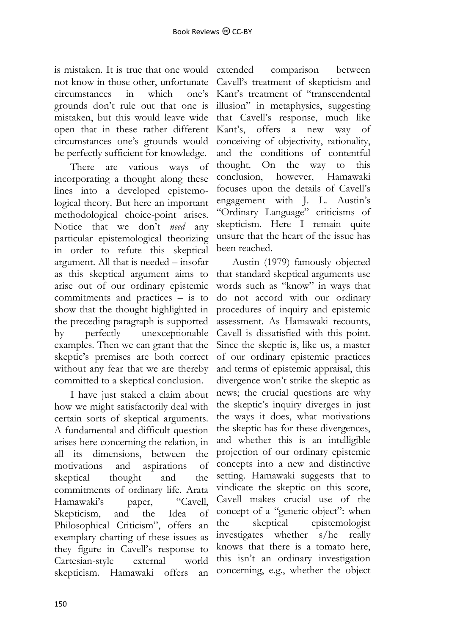is mistaken. It is true that one would not know in those other, unfortunate circumstances in which one's grounds don't rule out that one is mistaken, but this would leave wide open that in these rather different circumstances one's grounds would be perfectly sufficient for knowledge.

There are various ways of incorporating a thought along these lines into a developed epistemological theory. But here an important methodological choice-point arises. Notice that we don't *need* any particular epistemological theorizing in order to refute this skeptical argument. All that is needed – insofar as this skeptical argument aims to arise out of our ordinary epistemic commitments and practices – is to show that the thought highlighted in the preceding paragraph is supported by perfectly unexceptionable examples. Then we can grant that the skeptic's premises are both correct without any fear that we are thereby committed to a skeptical conclusion.

I have just staked a claim about how we might satisfactorily deal with certain sorts of skeptical arguments. A fundamental and difficult question arises here concerning the relation, in all its dimensions, between the motivations and aspirations of skeptical thought and the commitments of ordinary life. Arata Hamawaki's paper, "Cavell, Skepticism, and the Idea of Philosophical Criticism", offers an exemplary charting of these issues as they figure in Cavell's response to Cartesian-style external world skepticism. Hamawaki offers an

extended comparison between Cavell's treatment of skepticism and Kant's treatment of "transcendental illusion" in metaphysics, suggesting that Cavell's response, much like Kant's, offers a new way of conceiving of objectivity, rationality, and the conditions of contentful thought. On the way to this conclusion, however, Hamawaki focuses upon the details of Cavell's engagement with J. L. Austin's "Ordinary Language" criticisms of skepticism. Here I remain quite unsure that the heart of the issue has been reached.

Austin (1979) famously objected that standard skeptical arguments use words such as "know" in ways that do not accord with our ordinary procedures of inquiry and epistemic assessment. As Hamawaki recounts, Cavell is dissatisfied with this point. Since the skeptic is, like us, a master of our ordinary epistemic practices and terms of epistemic appraisal, this divergence won't strike the skeptic as news; the crucial questions are why the skeptic's inquiry diverges in just the ways it does, what motivations the skeptic has for these divergences, and whether this is an intelligible projection of our ordinary epistemic concepts into a new and distinctive setting. Hamawaki suggests that to vindicate the skeptic on this score, Cavell makes crucial use of the concept of a "generic object": when the skeptical epistemologist investigates whether s/he really knows that there is a tomato here, this isn't an ordinary investigation concerning, e.g., whether the object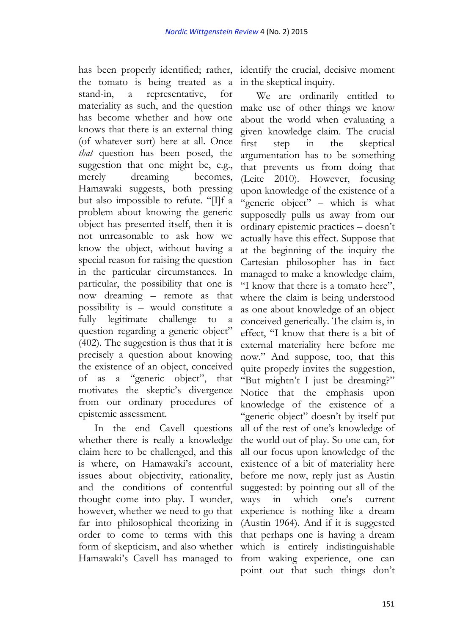has been properly identified; rather, the tomato is being treated as a stand-in, a representative, for materiality as such, and the question has become whether and how one knows that there is an external thing (of whatever sort) here at all. Once *that* question has been posed, the suggestion that one might be, e.g., merely dreaming becomes, Hamawaki suggests, both pressing but also impossible to refute. "[I]f a problem about knowing the generic object has presented itself, then it is not unreasonable to ask how we know the object, without having a special reason for raising the question in the particular circumstances. In particular, the possibility that one is now dreaming – remote as that possibility is – would constitute a fully legitimate challenge to a question regarding a generic object" (402). The suggestion is thus that it is precisely a question about knowing the existence of an object, conceived of as a "generic object", that motivates the skeptic's divergence from our ordinary procedures of epistemic assessment.

In the end Cavell questions whether there is really a knowledge claim here to be challenged, and this is where, on Hamawaki's account, issues about objectivity, rationality, and the conditions of contentful thought come into play. I wonder, however, whether we need to go that far into philosophical theorizing in order to come to terms with this form of skepticism, and also whether Hamawaki's Cavell has managed to

identify the crucial, decisive moment in the skeptical inquiry.

We are ordinarily entitled to make use of other things we know about the world when evaluating a given knowledge claim. The crucial first step in the skeptical argumentation has to be something that prevents us from doing that (Leite 2010). However, focusing upon knowledge of the existence of a "generic object" – which is what supposedly pulls us away from our ordinary epistemic practices – doesn't actually have this effect. Suppose that at the beginning of the inquiry the Cartesian philosopher has in fact managed to make a knowledge claim, "I know that there is a tomato here", where the claim is being understood as one about knowledge of an object conceived generically. The claim is, in effect, "I know that there is a bit of external materiality here before me now." And suppose, too, that this quite properly invites the suggestion, "But mightn't I just be dreaming?" Notice that the emphasis upon knowledge of the existence of a "generic object" doesn't by itself put all of the rest of one's knowledge of the world out of play. So one can, for all our focus upon knowledge of the existence of a bit of materiality here before me now, reply just as Austin suggested: by pointing out all of the ways in which one's current experience is nothing like a dream (Austin 1964). And if it is suggested that perhaps one is having a dream which is entirely indistinguishable from waking experience, one can point out that such things don't